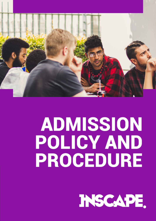

# ADMISSION POLICY AND PROCEDURE

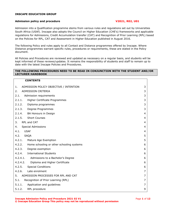#### **INSCAPE EDUCATION GROUP**

#### **Admission policy and procedure V2021, R02, U01**

# Admission into a Qualification programme stems from various rules and regulations set out by Universities South Africa (USAf). Inscape also adopts the Council on Higher Education (CHE's) frameworks and applicable regulations for Admissions, Credit Accumulation transfer (CAT) and Recognition of Prior Learning (RPL) based on the Policies for RPL, CAT and Assessment in Higher Education published in August 2016.

The following Policy and rules apply to all Contact and Distance programmes offered by Inscape. Where Distance programmes warrant specific rules, procedures or requirements, these are stated in the Policy document.

All Policies and Procedures are reviewed and updated as necessary on a regular basis, and students will be kept informed of these reviews/updates. It remains the responsibility of students and staff to remain up to date with the latest Inscape Policies and Procedures.

#### **THE FOLLOWING PROCEDURES NEED TO BE READ IN CONJUNCTION WITH THE STUDENT AND/OR LECTURER HANDBOOK**

| <b>CONTENTS</b>                                  |                |
|--------------------------------------------------|----------------|
| ADMISSION POLICY OBJECTIVE / INTENTION<br>1.     | 3              |
| ADMISSION CRITERIA<br>2.                         | 3              |
| Admission requirements<br>2.1.                   | 3              |
| 2.1.1.<br>Higher Certificate Programmes          | 3              |
| 2.1.2.<br>Diploma programmes                     | 3              |
| 2.1.3.<br>Degree Programmes                      | 3              |
| 2.1.4. BA Honours in Design                      | $\overline{4}$ |
| <b>Short Courses</b><br>2.1.5.                   | 4              |
| 3.<br>RPL and CAT                                | 4              |
| <b>Special Admissions</b><br>4.                  | 4              |
| <b>USAf</b><br>4.1.                              | 4              |
| 4.2.<br><b>SAQA</b>                              | 5              |
| 4.2.1.<br>Mature Age Exemption                   | 5              |
| 4.2.2. Home schooling or other schooling systems | 6              |
| 4.2.3.<br>Degree exemption                       | 6              |
| 4.2.4. International Students                    | 6              |
| 4.2.4.1.<br>Admissions to a Bachelor's Degree    | 6              |
| 4.2.4.2.<br>Diploma and Higher Certificate       | 6              |
| 4.2.5.<br><b>Special Conditions</b>              | 6              |
| 4.2.6.<br>Late enrolment                         | 7              |
| ADMISSION PROCESSES FOR RPL AND CAT<br>5.        | 7              |
| 5.1.<br>Recognition of Prior Learning (RPL)      | 7              |
| 5.1.1.<br>Application and guidelines             | 7              |
| 5.1.2.<br>RPL procedure                          | 9              |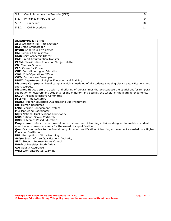- 5.2. [Credit Accumulation Transfer \(CAT\)](#page-9-1) 9
- 5.3. [Principles of RPL and CAT](#page-9-2) 9
- 5.3.1. [Guidelines](#page-10-0) 10
- 5.3.2. [CAT Procedure](#page-11-0) 2011 11 Annual State of the United States and States 2011 11

**ACRONYMS & TERMS AFL:** Associate Full Time Lecturer **BA:** Brand Ambassador **BYOD:** Bring your own device **CA:** Campus Administrator **CAO:** Chief Academic Officer **CAT:** Credit Accumulation Transfer **CESM:** Classification Education Subject Matter **CD:** Campus Director **CFC:** Cause for Concern **CHE:** Council on Higher Education **COO:** Chief Operations Officer **CWD:** Courseware Developer **DHET:** Department of Higher Education and Training **Distance Campus:** A virtual campus which is made up of all students studying distance qualifications and short courses. **Distance Education:** the design and offering of programmes that presuppose the spatial and/or temporal separation of lecturers and students for the majority, and possibly the whole, of the learning experience. **EXCO:** Inscape Executive Committee **FTL:** Full Time Lecturers **HEQSF:** Higher Education Qualifications Sub Framework **HR**: Human Resources **LMS**: Learner Management System **MC:** Marketing Coordinator **NQF:** National Qualifications Framework **NSC:** National Senior Certificate **OBE:** Outcomes Based Education **Programme:** refers to a purposeful and structured set of learning activities designed to enable a student to meet the outcomes necessary for the award of a qualification. **Qualification**: refers to the formal recognition and certification of learning achievement awarded by a Higher Education Institution. **RPL:** Recognition of Prior Learning **SAQA:** South African Qualifications Authority **SRC:** Student Representative Council **USAf:** Universities South Africa **QA:** Quality Assurance **WIL:** Work Integrated Learning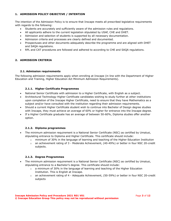# <span id="page-3-0"></span>**1. ADMISSION POLICY OBJECTIVE / INTENTION**

The intention of the Admission Policy is to ensure that Inscape meets all prescribed legislative requirements with regards to the following:

- Students are accurately and sufficiently aware of the admission rules and regulations.
- All applicants adhere to the current legislation stipulated by USAf, CHE and DHET.
- Admission and selection of students is supported by all necessary documentation.
- Admission criteria and processes are clearly defined and documented.
- Prospectuses and other documents adequately describe the programme and are aligned with DHET and SAQA regulations.
- RPL and CAT procedures are followed and adhered to according to CHE and SAQA regulations.

# <span id="page-3-2"></span><span id="page-3-1"></span>**2. ADMISSION CRITERIA**

# **2.1. Admission requirements**

<span id="page-3-3"></span>The following admission requirements apply when enrolling at Inscape (in line with the Department of Higher Education and Training, Higher Education Act Minimum Admission Requirements).

# **2.1.1. Higher Certificate Programmes**

- National Senior Certificate with admission to a Higher Certificate, with English as a subject.
- Architectural Technology Higher Certificate candidates wishing to study further at other institutions upon completion of the Inscape Higher Certificate, need to ensure that they have Mathematics as a subject and/or have consulted with the institution regarding their admission requirements.
- Should a current Higher Certificate student wish to continue into Bachelor of Design degree studies with Inscape, they must achieve an average of 60% or higher for entrance into the Inscape degree.
- <span id="page-3-4"></span>If a Higher Certificate graduate has an average of between 50-60%, Diploma studies offer another option.

# **2.1.2. Diploma programmes**

- The minimum admission requirement is a National Senior Certificate (NSC) as certified by Umalusi, stipulating entrance to Diploma and Higher Certificate. This certificate should include:
	- $\circ$  minimum of 30% in the language of learning and teaching of the Higher Education Institution
	- $\circ$  an achievement rating of 3 Moderate Achievement, (40-49%) or better in four NSC 20-credit subjects.

#### **2.1.3. Degree Programmes**

- <span id="page-3-5"></span>• The minimum admission requirement is a National Senior Certificate (NSC) as certified by Umalusi, stipulating entrance to a Bachelor's degree. This certificate should include:
	- $\circ$  a minimum of 30% in the language of learning and teaching of the Higher Education Institution. This is English at Inscape.
	- o an achievement rating of 4 Adequate Achievement, (50-59%) or better in four NSC 20-credit subjects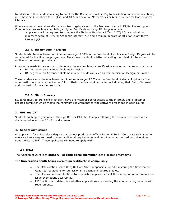In addition to this, student wishing to enrol for the Bachelor of Arts in Digital Marketing and Communications, must have 50% or above for English, and 40% or above for Mathematics or 60% or above for Mathematical Literacy.

Where students have taken alternate routes to gain access to the Bachelor of Arts in Digital Marketing and Communications such as completing a Higher Certificate or using RPL to gain access.

Applicants will be required to complete the National Benchmark Test (NBT) AQL and obtain a minimum score of 51% for Academic Literacy (AL) and a minimum score of 40% for Quantitative Literacy (QL).

# **2.1.4. BA Honours in Design**

<span id="page-4-0"></span>Students who have achieved a minimum average of 60% in the final level of an Inscape Design Degree will be considered for the Honours programme. They have to submit a letter indicating their field of interest and motivation for wanting to study.

Provision is made for access by students who have completed a qualification at another institution such as a:

- BA Degree or an Advanced Diploma in Design
- BA Degree or an Advanced Diploma in a field of design such as Communication Design, or similar.

<span id="page-4-1"></span>These students must have achieved a minimum average of 60% in the final level of study. Applicants from other institutions must submit a portfolio of their practical work and a letter indicating their field of interest and motivation for wanting to study.

# **2.1.5. Short Courses**

<span id="page-4-2"></span>Students must be proficient in English, have unlimited or liberal access to the internet, and a laptop or desktop computer which meets the minimum requirements for the software prescribed in each course.

#### **3. RPL and CAT**

<span id="page-4-3"></span>Students wishing to gain access through RPL, or CAT should apply following the documented process as documented in section 3.1 of this document.

#### **4. Special Admissions**

<span id="page-4-4"></span>All applicants for a Bachelor's degree that cannot produce an official National Senior Certificate (NSC) stating entrance into a degree, need to meet additional requirements and certification authorised by Universities South Africa (USAF). These applicants will need to apply with:

#### **4.1. USAf**

The function of USAf is to **grant full or conditional exemption** into a degree programme

#### **The Universities South Africa exemption certificate is compulsory**

- $\circ$  The Matriculation Board (MB) Unit of USAf is responsible for administering the Government Gazetted regulations for admission into bachelor's degree studies.
- $\circ$  The MB evaluates applications to establish if applicants meet the exemption requirements and issue exemptions accordingly.
- $\circ$  MB function is to determine whether applications are meeting the minimum degree admission requirements.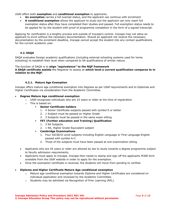USAf offers both **exemption** and **conditional exemption** to applicants.

- **An exemption** carries a full exempt status, and the applicant can continue with enrolment
- **A conditional exemption** allows the applicant to study but the applicant can only reach full exemption status after they have completed their studies and passed. Full exemption status needs to be applied for by the student with proof of programme completion in the form of a signed transcript.

Applying for certification is a lengthy process and outside of Inscape's control. Inscape may not allow an applicant to enrol without the necessary documentation. Should an applicant not receive the necessary documentation by the enrolment deadline, Inscape cannot accept the student into any contact qualifications for the current academic year.

# <span id="page-5-0"></span>**4.2. SAQA**

SAQA evaluates foreign academic qualifications (including external schooling systems used for home schooling) to establish their level when compared to SA qualifications of similar nature.

#### The function of SAQA is to **align "equivalence" to the NQF framework**

<span id="page-5-1"></span>**A SAQA certificate assists** the Registrar to assess at **which level a current qualification compares to in relation to the NQF.**

#### **4.2.1. Mature Age Exemption**

Inscape offers mature age conditional exemption into Degrees as per USAf requirements and to Diplomas and Higher Certificates via consideration from the Academic Committee.

#### • **Degree Mature Age conditional exemption**

- o USAf recognises individuals who are 23 years or older at the time of registration
- o This is based on:

#### **Senior Certificate holders**

- 1. 4 Senior Certificate subjects passed with symbol E or better
- 2. 1 Subject must be passed on Higher Grade
- 3. 3 Subjects must be passed in the same exam sitting
- **FET (Further education and Training) Qualification**
	- 1. 3 N4 Subjects
	- 2. 1 N5, Higher Grade Equivalent subject
- **Cambridge Examinations**
	- 1. Four IGCSE/O Level subjects including English Language or First Language English passed with symbol A-C.
	- 2. Three of the subjects must have been passed at one examination sitting.
- Applicants who are 45 years or older are allowed by law to study towards a degree programme subject to faculty admission requirements.
- Applicants must apply to Inscape. Inscape then needs to stamp and sign off the applicants M30E form available from the USAf website in order to apply for the exemption.
- Once the exemption certificate is received, the students will move from pending to verified.

#### • **Diploma and Higher Certificate Mature Age conditional exemption**

- o Mature age conditional exemption towards Diploma and Higher Certificates are considered on individual application and reviewed by the Academic Committee.
- o Students may be admitted via Recognition of Prior Learning (RPL).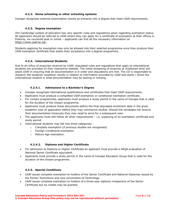# **4.2.2. Home schooling or other schooling systems**

<span id="page-6-1"></span><span id="page-6-0"></span>Inscape recognises external examination results as entrance into a degree that meet USAf requirements.

# **4.2.3. Degree exemption**

The Cambridge system of education has very specific rules and regulations when regarding exemption status. All applicants should be referred to USAf where they can apply for a certificate of exemption at their offices in Pretoria, via couriered post or online – applicants can find all the necessary information o[n](https://www.usaf.ac.za/) [https://www.usaf.ac.za/.](https://www.usaf.ac.za/)

<span id="page-6-2"></span>Students applying for exemption may only be allowed into their selected programme once they produce their USAf exemption certificate that states their acceptance into a degree programme.

#### **4.2.4. International Students**

Due to an influx of enquiries received by USAf, stipulated rules and regulations that apply to international students are provided on their interactive website. The initial streaming of enquires at Institution level will assist USAf in ensuring that all documentation is in order and stipulations are met. The CD is responsible to research the students' academic results in relation to information provided by USAf and assist / direct the International student in what documentation may be lacking or missing.

# **4.2.4.1. Admissions to a Bachelor's Degree**

- <span id="page-6-3"></span>• Inscape recognises international qualifications and certificates that meet USAf requirements.
- Applicants must produce a completed USAf exemption or conditional exemption certificate.
- For contact programmes, applicants must produce a study permit in the name of Inscape that is valid for the duration of the chosen programme.
- Applicants must produce these documents before the final stipulated enrolment date in the given academic year of application before they may commence studies. Should the candidate not receive their documentation timeously they may need to enrol for a subsequent year.
- The applicants must still follow all other requirements i.e. supplying of an exemption certificate and study permit.
- International students may fall into three categories:
	- o Complete exemption (if previous studies are recognised)
	- o Foreign Conditional exemption
	- o Mature Age exemption.

# **4.2.4.2. Diploma and Higher Certificate**

- <span id="page-6-4"></span>• For admission to Diploma or Higher Certificate an applicant must provide a SAQA evaluation of National Senior Certificate equivalent.
- <span id="page-6-5"></span>• Applicants must provide a study permit in the name of Inscape Education Group that is valid for the duration of the chosen programme.

# **4.2.5. Special Conditions**

- USAf issues complete exemption to holders of the Senior Certificate and National Diplomas issued by the former Technikons and now Universities of Technology.
- USAf issues complete exemption to holders of a three-year diploma irrespective of the Senior Certificate but no credits may be granted.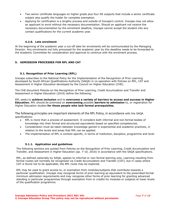- Two senior certificate languages on higher grade plus four N5 subjects that include a senior certificate subject also qualify the holder for complete exemption.
- Applying for certification is a lengthy process and outside of Inscape's control. Inscape may not allow an applicant to enrol without the necessary documentation. Should an applicant not receive the necessary documentation by the enrolment deadline, Inscape cannot accept the student into any contact qualifications for the current academic year.

### **4.2.6. Late enrolment**

<span id="page-7-0"></span>At the beginning of the academic year a cut-off date for enrolments will be communicated by the Managing Director. Any enrolments not fully processed for the academic year by this deadline needs to be forwarded to the Academic Committee for consideration and approval to continue with the enrolment process.

# <span id="page-7-2"></span><span id="page-7-1"></span>**5. ADMISSION PROCESSES FOR RPL AND CAT**

# **5.1. Recognition of Prior Learning (RPL)**

Inscape subscribes to the National Policy for the Implementation of the Recognition of Prior Learning developed by South African Qualifications Authority (SAQA) in co-operation with Policies on RPL, CAT and Assessment in Higher Education developed by the Council on Higher Education (CHE).

The CHE document Policies on the Recognition of Prior Learning, Credit Accumulation and Transfer and Assessment in Higher Education (2016) define the following:

RPL seeks to **achieve inclusion** and to **overcome a variety of barriers to access and success in Higher Education.** RPL should be premised on **overcoming** possible **barriers to admission** to, or registration for Higher Education studies **for those people who lack formal prerequisites.**

The following principles are important elements of the RPL Policy, in accordance with the SAQA specifications:

- RPL is more than a process of assessment. It considers both informal and non-formal bodies of knowledge into their formal and structured equivalents based on specified competencies.
- Consideration must be taken between knowledge gained in experiential and academic practices, in relation to the levels and areas that RPL can be applied.
- <span id="page-7-3"></span>• The implementation of RPL is context-specific, in terms of institution, discipline, programme and level.

# **5.1.1. Application and guidelines**

The following sections are quoted from Policies on the Recognition of Prior Learning, Credit Accumulation and Transfer, and Assessment in Higher Education (pp. 7-10, 2016) in accordance with the SAQA specifications.

RPL, as defined nationally by SAQA, applies to informal or non-formal learning only. Learning resulting from formal routes will normally be recognised via Credit Accumulation and Transfer (CAT), but in cases where CAT is found not to be applicable, the RPL route may be explored.

RPL may be used to grant access to, or exemption from modules/subjects that contribute towards a particular qualification. Inscape may recognise forms of prior learning as equivalent to the prescribed formal minimum admission requirements and may recognise other forms of prior learning for granting advanced standing in particular programmes through exemption from or credits for modules or subjects at lower levels of the qualification programme.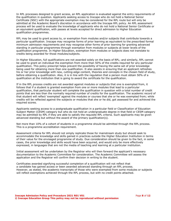In RPL processes designed to grant access, an RPL application is evaluated against the entry requirements of the qualification in question. Applicants seeking access to Inscape who do not hold a National Senior Certificate (NSC) with the appropriate exemption may be considered for the RPL route but will only be admitted at the Academic Board's discretion in accordance with the Inscape RPL policy. An RPL assessment process will be used to evaluate the knowledge of applicants who do not hold a National Senior Certificate or an equivalent qualification, with passes at levels accepted for direct admission to Higher Education qualification programmes.

RPL may be used to grant access to, or exemption from modules and/or subjects that contribute towards a particular qualification. Inscape may recognise forms of prior learning as equivalent to the prescribed formal minimum admission requirements and may recognise other forms of prior learning for granting advanced standing in particular programmes through exemption from modules or subjects at lower levels of the qualification programme. In Higher Education, exemption from modules or subjects does not translate to credits being awarded for those modules/subjects.

In Higher Education, full qualifications are not awarded solely on the basis of RPL; and similarly, RPL cannot be used to grant an individual the exemption from more than 50% of the credits required for any particular qualification. This policy prescript helps prevent the possibility of having the same set of prior knowledge being used for obtaining more than one qualification. It also assists in ensuring that an applicant refreshes his or her prior knowledge with new, cutting-edge content, theories and concepts in the chosen field of study, before obtaining a qualification. Also, it is in line with the regulation that a person must obtain 50% of a qualification at the institution that is going to award the certificate for the qualification.

If in the RPL process credits are not awarded against modules or subjects that one is exempted from, it follows that if a student is granted exemption from one or more modules that lead to a particular qualification, that particular student will complete the qualification in question with a total number of credit points that are less than the normally required number of credits for the qualification. The academic record of that student will reflect 'exempted' against the modules or courses that she or he was exempted from; while credits will be reflected against the subjects or modules that she or he did, got assessed for and achieved the required scores.

Applicants seeking access to a postgraduate qualification in a particular field or Classification of Education Subject Matter (CESM) category but who do not hold an undergraduate degree in that field or CESM category may be admitted by RPL if they are able to satisfy the requisite RPL criteria. Such applicants may be given advanced standing but without the award of the primary qualification(s).

Not more than 10% of a cohort of students in a programme should be admitted through the RPL process. This is a programme accreditation requirement.

Assessment criteria for RPL should not simply replicate those for mainstream study but should seek to accommodate the knowledge and skills gained in practices outside the Higher Education Institution in terms of their value for the envisaged programme of study. Due consideration should be given to the fact, in some cases, the prior knowledge and skills would have been acquired, and would only be more effectively expressed, in languages that are not the media of teaching and learning at a particular institution.

Initial assessment will be undertaken by the Registrar who will then forward the applicant's necessary documentation to the Academic Committee for consideration. The Academic Committee will assess the application and the Registrar will confirm their decision in writing to the student.

Certificates awarded signifying successful completion of a qualification will not reflect that a candidate has gained access or been awarded advanced standing through an RPL process. However, as stated, the academic transcripts of those who were exempted from some modules or subjects will reflect exemptions achieved through the RPL process, but with no credit points attached.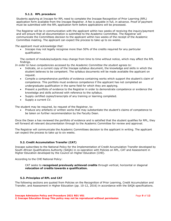#### **5.1.2. RPL procedure**

<span id="page-9-0"></span>Students applying at Inscape for RPL need to complete the Inscape Recognition of Prior Learning (RPL) application form available from the Inscape Registrar. A fee is payable in full, in advance. Proof of payment must be submitted with the RPL application form before applications will be processed.

The Registrar will be in communication with the applicant within two weeks of receiving the inquiry/payment and will ensure that all documentation is submitted to the Academic Committee. The Registrar will communicate the Committees decision to the applicant within two weeks of the receipt of the Academic Committee meeting. The applicant can expect the process to take up to six weeks.

*The applicant must acknowledge that:*

Inscape may not legally recognise more than 50% of the credits required for any particular qualification.

The content of modules/subjects may change from time to time without notice, which may affect the RPL findings.

*In order to have competencies accessed by the Academic Committee the student agrees to:*

- Indicate, on a current copy of the Inscape syllabus document, the knowledge and skills in which the student believes to be competent. The syllabus documents will be made available the applicant on request.
- Compile a comprehensive portfolio of evidence containing works which support the student's claim of competence. This portfolio must evidence competence if the applicant has not completed an undergraduate qualification in the same field for which they are applying.
- Present a portfolio of evidence to the Registrar in order to demonstrate competence or evidence the knowledge and skills achieved with reference to the syllabus.
- Supply certified copies/transcripts of any training or learning completed.
- Supply a current CV.

The student may be required, by request of the Registrar, to:

• Produce any artefacts or written works that may substantiate the student's claims of competence to be taken on further recommendation by the Faculty Dean.

Once the Dean a has reviewed the portfolio of evidence and is satisfied that the student qualifies for RPL, they will forward all relevant documentation through to the Academic Committee for review and approval.

<span id="page-9-1"></span>The Registrar will communicate the Academic Committees decision to the applicant in writing. The applicant can expect the process to take up to six weeks.

# **5.2. Credit Accumulation Transfer (CAT)**

Inscape subscribes to the National Policy for the Implementation of Credit Accumulation Transfer developed by South African Qualifications Authority (SAQA) in co-operation with Policies on RPL, CAT and Assessment in Higher Education developed by the Council on Higher Education (CHE).

According to the CHE National Policy:

CAT seeks to **recognised previously achieved credits** through vertical, horizontal or diagonal **relocation of credits towards a qualification.**

#### <span id="page-9-2"></span>**5.3. Principles of RPL and CAT**

The following sections are quoted from Policies on the Recognition of Prior Learning, Credit Accumulation and Transfer, and Assessment in Higher Education (pp. 10-12, 2016) in accordance with the SAQA specifications.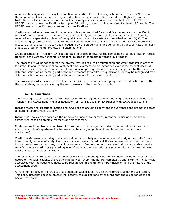A qualification signifies the formal recognition and certification of learning achievement. The HEQSF sets out the range of qualification types in Higher Education and any qualification offered by a Higher Education Institution must conform to one of the qualifications types or its variants as described in the HEQSF. The HEQSF is about whole qualifications for Higher Education, understood to comprise of at least 120 credits. The HEQSF does not specify parameters for part qualifications.

Credits are used as a measure of the volume of learning required for a qualification and can be specified in terms of the total minimum numbers of credits required, and in terms of the minimum number of credits required at the specified exit level of the qualification type or its variant as described in the HEQSF. The credit-rating system estimates that 10 notional study hours are equivalent to one credit. Credits represent a measure of all the learning activities engaged in by the student and include, among others, contact time, selfstudy, WIL, assignments, projects and examinations.

Credit accumulation Transfer (CAT) is the totalling of credits towards the completion of a qualification. Credit transfer is the vertical, horizontal or diagonal relocation of credits towards a qualification.

The process of CAT brings together the diverse features of credit accumulation and credit transfer in order to facilitate lifelong learning. It allows a student's achievements to be recognised even if the student does not achieve a qualification. Any and all credits for an incomplete qualification may be recognised by the same or a different institution as meeting part of the requirements for a different qualification or may be recognised by a different institution as meeting part of the requirements for the same qualification.

<span id="page-10-0"></span>The process of CAT ensures the mobility of an individual student between programmes and institutions within the constraining parameters set by the requirements of the specific curricula.

#### **5.3.1. Guidelines**

The following sections are quoted from Policies on the Recognition of Prior Learning, Credit Accumulation and Transfer, and Assessment in Higher Education (pp. 10-12, 2016) in accordance with SAQA specifications.

Inscape meets the prescribed institutional CAT policies ensuring equity and inclusiveness and promotes access to learning opportunities actively.

Inscape CAT policies are based on the principles of access for success, retention, articulation by design, comparison based on credible methods and transparency.

Credit accumulation transfer can take place within Inscape programmes (total amount of credits within a specific institution/department) or between institutions (recognition of credits between two or more institutions).

Credit transfer means carrying over credits either horizontally at the same level of study or vertically from a lower to a higher level of study. Horizontal transfer refers to credits at the same level carried over between institutions where the outcome/curriculum statements (subject content) are identical or comparable. Vertical transfer is where credits of a preceding level of study at one institution are accepted for entry into the next level of study at another institution.

The recognition of credits for the purposes of transfer from one qualification to another is determined by the nature of the qualifications, the relationship between them, the nature, complexity, and extent of the curricula associated with the specific subjects to be recognised for exemption and/or inclusion, and the nature of the assessment used.

A maximum of 50% of the credits of a completed qualification may be transferred to another qualification. This policy prescript seeks to protect the integrity of qualifications by ensuring that the exception does not become the norm.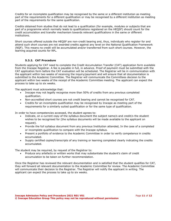Credits for an incomplete qualification may be recognised by the same or a different institution as meeting part of the requirements for a different qualification or may be recognised by a different institution as meeting part of the requirements for the same qualification.

Credits obtained from studies that do not lead to a qualification (for example, modules or subjects that are part of a programme which normally leads to qualifications registered on the HEQSF) should count for the credit accumulation and transfer mechanism towards relevant qualifications in the same or different institutions.

Short courses offered outside the HEQSF are non-credit bearing and, thus, individuals who register for and attend such short courses are not awarded credits against any level on the National Qualification Framework (NQF). This means no credit will be accumulated and/or transferred from such short courses. However, the learning acquired counts for RPL.

# **5.3.2. CAT Procedure**

<span id="page-11-0"></span>Students applying for CAT need to complete the Credit Accumulation Transfer (CAT) application form available from the Inscape Registrar. A fee is payable in full, in advance. Proof of payment must be submitted with the CAT application form before the CAT evaluation will be scheduled. The Registrar will be in communication with the applicant within two weeks of receiving the inquiry/payment and will ensure that all documentation is submitted to the Academic Committee. The Registrar will communicate the Committees decision to the applicant within two weeks of the receipt of the Academic Committee meeting. The applicant can expect the process to take up to six weeks.

The applicant must acknowledge that:

- Inscape may not legally recognise more than 50% of credits from any previous completed qualification.
- Non-accredited short courses are not credit bearing and cannot be recognised for CAT.
- Credits for an incomplete qualification may be recognised by Inscape as meeting part of the requirements for a similarly suited qualification or for the same type of qualification.

In order to have competencies accessed, the student agrees to:

- Indicate, on a current copy of the syllabus document the subject name/s and credit/s the student wishes to be recognised for (the syllabus documents will be made available to the applicant on request).
- Provide the full syllabus document from any previous Institution attended, In the case of a completed or incomplete qualification to compare with the Inscape syllabus.
- Present a portfolio of evidence to the Academic Committee in order to verify competence in credits accumulated.
- Supply certified copies/transcripts of any training or learning completed clearly indicating the credits accumulated.

The student may be required, by request of the Registrar to:

• Produce any artefacts or written works that may substantiate the student's claim of credit accumulation to be taken on further recommendation.

Once the Registrar has reviewed the relevant documentation and is satisfied that the student qualifies for CAT, they will forward all relevant documentation to the Academic Committee for review. The Academic Committee will communicate their decision to the Registrar. The Registrar will notify the applicant in writing. The applicant can expect the process to take up to six weeks.